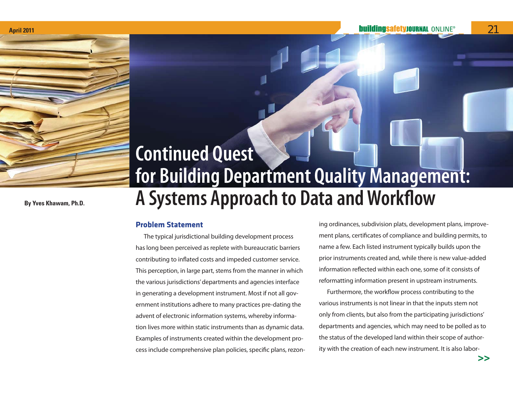

**By Yves Khawam, Ph.D.**

# **Continued Quest for Building Department Quality Management: A Systems Approach to Data and Workflow**

# **Problem Statement**

The typical jurisdictional building development process has long been perceived as replete with bureaucratic barriers contributing to inflated costs and impeded customer service. This perception, in large part, stems from the manner in which the various jurisdictions' departments and agencies interface in generating a development instrument. Most if not all government institutions adhere to many practices pre-dating the advent of electronic information systems, whereby information lives more within static instruments than as dynamic data. Examples of instruments created within the development process include comprehensive plan policies, specific plans, rezoning ordinances, subdivision plats, development plans, improvement plans, certificates of compliance and building permits, to name a few. Each listed instrument typically builds upon the prior instruments created and, while there is new value-added information reflected within each one, some of it consists of reformatting information present in upstream instruments.

Furthermore, the workflow process contributing to the various instruments is not linear in that the inputs stem not only from clients, but also from the participating jurisdictions' departments and agencies, which may need to be polled as to the status of the developed land within their scope of authority with the creation of each new instrument. It is also labor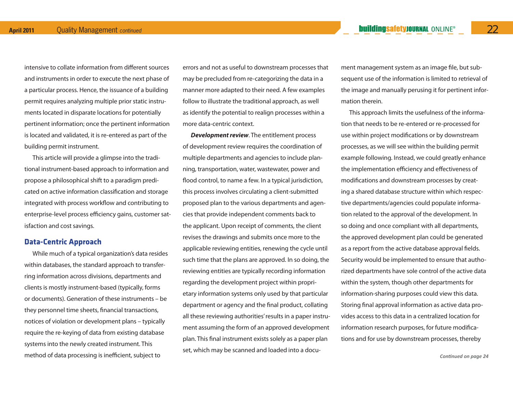intensive to collate information from different sources and instruments in order to execute the next phase of a particular process. Hence, the issuance of a building permit requires analyzing multiple prior static instruments located in disparate locations for potentially pertinent information; once the pertinent information is located and validated, it is re-entered as part of the building permit instrument.

This article will provide a glimpse into the traditional instrument-based approach to information and propose a philosophical shift to a paradigm predicated on active information classification and storage integrated with process workflow and contributing to enterprise-level process efficiency gains, customer satisfaction and cost savings.

# **Data-Centric Approach**

While much of a typical organization's data resides within databases, the standard approach to transferring information across divisions, departments and clients is mostly instrument-based (typically, forms or documents). Generation of these instruments – be they personnel time sheets, financial transactions, notices of violation or development plans – typically require the re-keying of data from existing database systems into the newly created instrument. This method of data processing is inefficient, subject to

errors and not as useful to downstream processes that may be precluded from re-categorizing the data in a manner more adapted to their need. A few examples follow to illustrate the traditional approach, as well as identify the potential to realign processes within a more data-centric context.

*Development review*. The entitlement process of development review requires the coordination of multiple departments and agencies to include planning, transportation, water, wastewater, power and flood control, to name a few. In a typical jurisdiction, this process involves circulating a client-submitted proposed plan to the various departments and agencies that provide independent comments back to the applicant. Upon receipt of comments, the client revises the drawings and submits once more to the applicable reviewing entities, renewing the cycle until such time that the plans are approved. In so doing, the reviewing entities are typically recording information regarding the development project within proprietary information systems only used by that particular department or agency and the final product, collating all these reviewing authorities' results in a paper instrument assuming the form of an approved development plan. This final instrument exists solely as a paper plan set, which may be scanned and loaded into a document management system as an image file, but sub sequent use of the information is limited to retrieval of the image and manually perusing it for pertinent infor mation therein.

This approach limits the usefulness of the informa tion that needs to be re-entered or re-processed for<br>use within project modifications or by downstream<br>processes, as we will see within the building permit<br>example following. Instead, we could greatly enhance<br>the implement ing a shared database structure within which respec tive departments/agencies could populate informa tion related to the approval of the development. In<br>so doing and once compliant with all departments,<br>the approved development plan could be generated<br>as a report from the active database approval fields.<br>Security would be rized departments have sole control of the active data within the system, though other departments for information-sharing purposes could view this data. Storing final approval information as active data pro vides access to this data in a centralized location for information research purposes, for future modifica tions and for use by downstream processes, thereby

*Continued on page 24*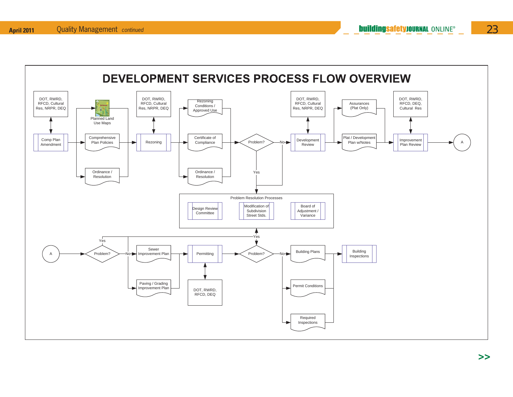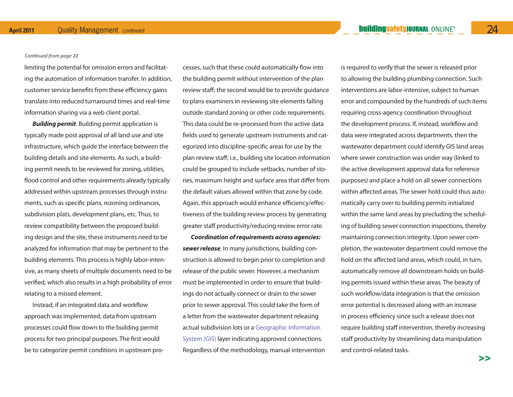#### *Continued from page 22*

limiting the potential for omission errors and facilitating the automation of information transfer. In addition, customer service benefits from these efficiency gains translate into reduced turnaround times and real-time information sharing via a web client portal.

*Building permit*. Building permit application is typically made post approval of all land use and site infrastructure, which guide the interface between the building details and site elements. As such, a building permit needs to be reviewed for zoning, utilities, flood control and other requirements already typically addressed within upstream processes through instruments, such as specific plans, rezoning ordinances, subdivision plats, development plans, etc. Thus, to review compatibility between the proposed building design and the site, these instruments need to be analyzed for information that may be pertinent to the building elements. This process is highly labor-intensive, as many sheets of multiple documents need to be verified, which also results in a high probability of error relating to a missed element.

Instead, if an integrated data and workflow approach was implemented, data from upstream processes could flow down to the building permit process for two principal purposes. The first would be to categorize permit conditions in upstream pro-

cesses, such that these could automatically flow into<br>the building permit without intervention of the plan<br>review staff; the second would be to provide guidance<br>to plans examiners in reviewing site elements falling<br>outside egorized into discipline-specific areas for use by the plan review staff; i.e., building site location information could be grouped to include setbacks, number of sto ries, maximum height and surface area that differ from the default values allowed within that zone by code. Again, this approach would enhance efficiency/effec tiveness of the building review process by generating greater staff productivity/reducing review error rate.

*Coordination of requirements across agencies: sewer release*. In many jurisdictions, building con struction is allowed to begin prior to completion and release of the public sewer. However, a mechanism must be implemented in order to ensure that build-

cresses, such that these could automatically flow into is required to verify that the sewer is relaxed prior<br>the building permit without intervention of the plan<br>the building plumbing connection. Such the provide guidance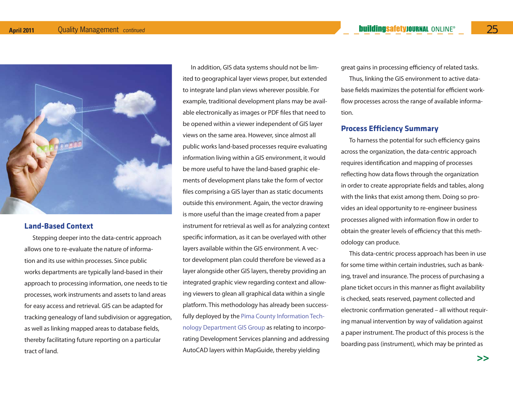

### **Land-Based Context**

Stepping deeper into the data-centric approach allows one to re-evaluate the nature of information and its use within processes. Since public works departments are typically land-based in their approach to processing information, one needs to tie processes, work instruments and assets to land areas for easy access and retrieval. GIS can be adapted for tracking genealogy of land subdivision or aggregation, as well as linking mapped areas to database fields, thereby facilitating future reporting on a particular tract of land.

In addition, GIS data systems should not be limited to geographical layer views proper, but extended to integrate land plan views wherever possible. For example, traditional development plans may be available electronically as images or PDF files that need to be opened within a viewer independent of GIS layer views on the same area. However, since almost all public works land-based processes require evaluating information living within a GIS environment, it would be more useful to have the land-based graphic elements of development plans take the form of vector files comprising a GIS layer than as static documents outside this environment. Again, the vector drawing is more useful than the image created from a paper instrument for retrieval as well as for analyzing context specific information, as it can be overlayed with other layers available within the GIS environment. A vector development plan could therefore be viewed as a layer alongside other GIS layers, thereby providing an integrated graphic view regarding context and allowing viewers to glean all graphical data within a single platform. This methodology has already been successfully deployed by the Pima County Information Technology Department GIS Group as relating to incorporating Development Services planning and addressing AutoCAD layers within MapGuide, thereby yielding

great gains in processing efficiency of related tasks.

Thus, linking the GIS environment to active database fields maximizes the potential for efficient workflow processes across the range of available information.

# **Process Efficiency Summary**

To harness the potential for such efficiency gains across the organization, the data-centric approach requires identification and mapping of processes reflecting how data flows through the organization in order to create appropriate fields and tables, along with the links that exist among them. Doing so provides an ideal opportunity to re-engineer business processes aligned with information flow in order to obtain the greater levels of efficiency that this methodology can produce.

This data-centric process approach has been in use for some time within certain industries, such as banking, travel and insurance. The process of purchasing a plane ticket occurs in this manner as flight availability is checked, seats reserved, payment collected and electronic confirmation generated – all without requiring manual intervention by way of validation against a paper instrument. The product of this process is the boarding pass (instrument), which may be printed as